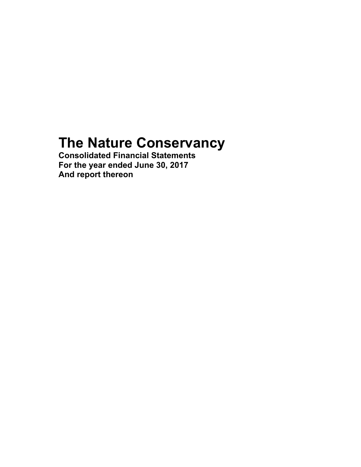# **The Nature Conservancy**

**Consolidated Financial Statements For the year ended June 30, 2017 And report thereon**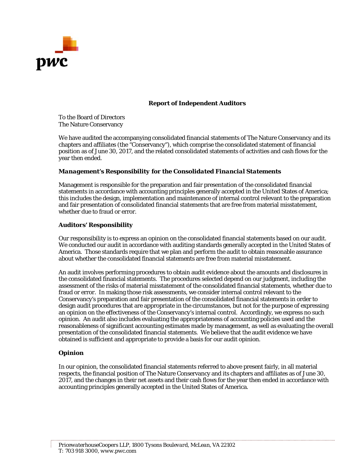

#### **Report of Independent Auditors**

To the Board of Directors The Nature Conservancy

We have audited the accompanying consolidated financial statements of The Nature Conservancy and its chapters and affiliates (the "Conservancy"), which comprise the consolidated statement of financial position as of June 30, 2017, and the related consolidated statements of activities and cash flows for the year then ended.

#### *Management's Responsibility for the Consolidated Financial Statements*

Management is responsible for the preparation and fair presentation of the consolidated financial statements in accordance with accounting principles generally accepted in the United States of America; this includes the design, implementation and maintenance of internal control relevant to the preparation and fair presentation of consolidated financial statements that are free from material misstatement, whether due to fraud or error.

#### *Auditors' Responsibility*

Our responsibility is to express an opinion on the consolidated financial statements based on our audit. We conducted our audit in accordance with auditing standards generally accepted in the United States of America. Those standards require that we plan and perform the audit to obtain reasonable assurance about whether the consolidated financial statements are free from material misstatement.

An audit involves performing procedures to obtain audit evidence about the amounts and disclosures in the consolidated financial statements. The procedures selected depend on our judgment, including the assessment of the risks of material misstatement of the consolidated financial statements, whether due to fraud or error. In making those risk assessments, we consider internal control relevant to the Conservancy's preparation and fair presentation of the consolidated financial statements in order to design audit procedures that are appropriate in the circumstances, but not for the purpose of expressing an opinion on the effectiveness of the Conservancy's internal control. Accordingly, we express no such opinion. An audit also includes evaluating the appropriateness of accounting policies used and the reasonableness of significant accounting estimates made by management, as well as evaluating the overall presentation of the consolidated financial statements. We believe that the audit evidence we have obtained is sufficient and appropriate to provide a basis for our audit opinion.

## *Opinion*

In our opinion, the consolidated financial statements referred to above present fairly, in all material respects, the financial position of The Nature Conservancy and its chapters and affiliates as of June 30, 2017, and the changes in their net assets and their cash flows for the year then ended in accordance with accounting principles generally accepted in the United States of America.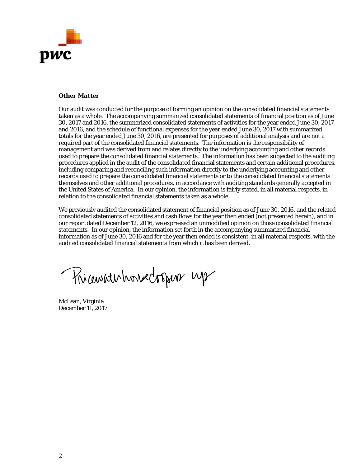

## *Other Matter*

Our audit was conducted for the purpose of forming an opinion on the consolidated financial statements taken as a whole. The accompanying summarized consolidated statements of financial position as of June 30, 2017 and 2016, the summarized consolidated statements of activities for the year ended June 30, 2017 and 2016, and the schedule of functional expenses for the year ended June 30, 2017 with summarized totals for the year ended June 30, 2016, are presented for purposes of additional analysis and are not a required part of the consolidated financial statements. The information is the responsibility of management and was derived from and relates directly to the underlying accounting and other records used to prepare the consolidated financial statements. The information has been subjected to the auditing procedures applied in the audit of the consolidated financial statements and certain additional procedures, including comparing and reconciling such information directly to the underlying accounting and other records used to prepare the consolidated financial statements or to the consolidated financial statements themselves and other additional procedures, in accordance with auditing standards generally accepted in the United States of America. In our opinion, the information is fairly stated, in all material respects, in relation to the consolidated financial statements taken as a whole.

We previously audited the consolidated statement of financial position as of June 30, 2016, and the related consolidated statements of activities and cash flows for the year then ended (not presented herein), and in our report dated December 12, 2016, we expressed an unmodified opinion on those consolidated financial statements. In our opinion, the information set forth in the accompanying summarized financial information as of June 30, 2016 and for the year then ended is consistent, in all material respects, with the audited consolidated financial statements from which it has been derived.

Ricewaterhorsectopers up

McLean, Virginia December 11, 2017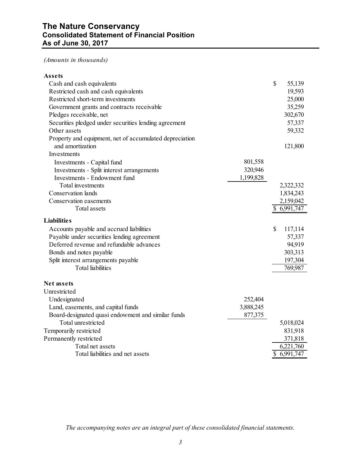# **The Nature Conservancy Consolidated Statement of Financial Position As of June 30, 2017**

*(Amounts in thousands)*

| Assets                                                                      |           |                         |
|-----------------------------------------------------------------------------|-----------|-------------------------|
| Cash and cash equivalents                                                   |           | \$<br>55,139            |
| Restricted cash and cash equivalents                                        |           | 19,593                  |
| Restricted short-term investments                                           |           | 25,000                  |
| Government grants and contracts receivable                                  |           | 35,259                  |
| Pledges receivable, net                                                     |           | 302,670                 |
| Securities pledged under securities lending agreement                       |           | 57,337                  |
| Other assets                                                                |           | 59,332                  |
|                                                                             |           |                         |
| Property and equipment, net of accumulated depreciation<br>and amortization |           | 121,800                 |
| Investments                                                                 |           |                         |
| Investments - Capital fund                                                  | 801,558   |                         |
| Investments - Split interest arrangements                                   | 320,946   |                         |
| Investments - Endowment fund                                                | 1,199,828 |                         |
| Total investments                                                           |           | 2,322,332               |
| Conservation lands                                                          |           | 1,834,243               |
| Conservation easements                                                      |           | 2,159,042               |
| <b>Total assets</b>                                                         |           | $\overline{$}6,991,747$ |
| <b>Liabilities</b>                                                          |           |                         |
| Accounts payable and accrued liabilities                                    |           | \$<br>117,114           |
| Payable under securities lending agreement                                  |           | 57,337                  |
| Deferred revenue and refundable advances                                    |           | 94,919                  |
| Bonds and notes payable                                                     |           | 303,313                 |
| Split interest arrangements payable                                         |           | 197,304                 |
| <b>Total liabilities</b>                                                    |           | 769,987                 |
| <b>Net assets</b>                                                           |           |                         |
| Unrestricted                                                                |           |                         |
|                                                                             |           |                         |
| Undesignated                                                                | 252,404   |                         |
| Land, easements, and capital funds                                          | 3,888,245 |                         |
| Board-designated quasi endowment and similar funds                          | 877,375   |                         |
| Total unrestricted                                                          |           | 5,018,024               |
| Temporarily restricted                                                      |           | 831,918                 |
| Permanently restricted                                                      |           | 371,818                 |
| Total net assets                                                            |           | 6,221,760               |
| Total liabilities and net assets                                            |           | \$6,991,747             |

*The accompanying notes are an integral part of these consolidated financial statements.*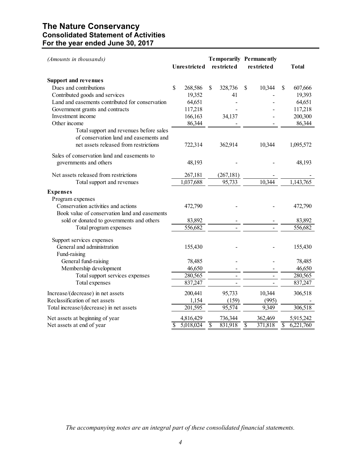# **The Nature Conservancy Consolidated Statement of Activities For the year ended June 30, 2017**

| (Amounts in thousands)                          | restricted<br><b>Unrestricted</b> |                                    | Temporarily Permanently<br>restricted | <b>Total</b>    |
|-------------------------------------------------|-----------------------------------|------------------------------------|---------------------------------------|-----------------|
| <b>Support and revenues</b>                     |                                   |                                    |                                       |                 |
| Dues and contributions                          | \$<br>268,586                     | \$<br>328,736                      | \$<br>10,344                          | \$<br>607,666   |
| Contributed goods and services                  | 19,352                            | 41                                 |                                       | 19,393          |
| Land and easements contributed for conservation | 64,651                            |                                    |                                       | 64,651          |
| Government grants and contracts                 | 117,218                           |                                    |                                       | 117,218         |
| Investment income                               | 166,163                           | 34,137                             |                                       | 200,300         |
| Other income                                    | 86,344                            |                                    |                                       | 86,344          |
| Total support and revenues before sales         |                                   |                                    |                                       |                 |
| of conservation land and easements and          |                                   |                                    |                                       |                 |
| net assets released from restrictions           | 722,314                           | 362,914                            | 10,344                                | 1,095,572       |
| Sales of conservation land and easements to     |                                   |                                    |                                       |                 |
| governments and others                          | 48,193                            |                                    |                                       | 48,193          |
| Net assets released from restrictions           | 267,181                           | (267, 181)                         |                                       |                 |
| Total support and revenues                      | 1,037,688                         | 95,733                             | 10,344                                | 1,143,765       |
| <b>Expenses</b>                                 |                                   |                                    |                                       |                 |
| Program expenses                                |                                   |                                    |                                       |                 |
| Conservation activities and actions             | 472,790                           |                                    |                                       | 472,790         |
| Book value of conservation land and easements   |                                   |                                    |                                       |                 |
| sold or donated to governments and others       | 83,892                            |                                    |                                       | 83,892          |
| Total program expenses                          | 556,682                           |                                    |                                       | 556,682         |
| Support services expenses                       |                                   |                                    |                                       |                 |
| General and administration                      | 155,430                           |                                    |                                       | 155,430         |
| Fund-raising                                    |                                   |                                    |                                       |                 |
| General fund-raising                            | 78,485                            |                                    |                                       | 78,485          |
| Membership development                          | 46,650                            |                                    |                                       | 46,650          |
| Total support services expenses                 | 280,565                           |                                    |                                       | 280,565         |
| Total expenses                                  | 837,247                           |                                    |                                       | 837,247         |
| Increase/(decrease) in net assets               | 200,441                           | 95,733                             | 10,344                                | 306,518         |
| Reclassification of net assets                  | 1,154                             | (159)                              | (995)                                 |                 |
| Total increase/(decrease) in net assets         | $\overline{201,}595$              | 95,574                             | 9,349                                 | 306,518         |
| Net assets at beginning of year                 | 4,816,429                         | 736,344                            | 362,469                               | 5,915,242       |
| Net assets at end of year                       | 5,018,024<br>\$                   | $\overline{\mathbb{S}}$<br>831,918 | $\overline{\mathbb{S}}$<br>371,818    | \$<br>6,221,760 |

*The accompanying notes are an integral part of these consolidated financial statements.*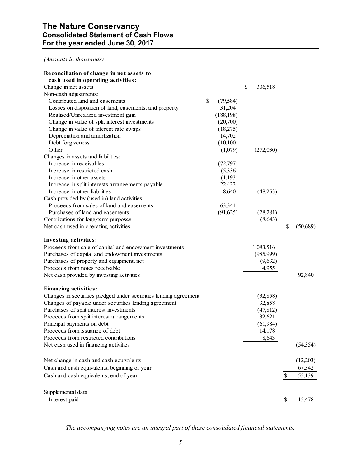# **The Nature Conservancy Consolidated Statement of Cash Flows For the year ended June 30, 2017**

*(Amounts in thousands)*

| Reconciliation of change in net assets to                        |                 |               |                                   |          |
|------------------------------------------------------------------|-----------------|---------------|-----------------------------------|----------|
| cash used in operating activities:                               |                 |               |                                   |          |
| Change in net assets                                             |                 | \$<br>306,518 |                                   |          |
| Non-cash adjustments:                                            |                 |               |                                   |          |
| Contributed land and easements                                   | \$<br>(79, 584) |               |                                   |          |
| Losses on disposition of land, easements, and property           | 31,204          |               |                                   |          |
| Realized/Unrealized investment gain                              | (188, 198)      |               |                                   |          |
| Change in value of split interest investments                    | (20,700)        |               |                                   |          |
| Change in value of interest rate swaps                           | (18,275)        |               |                                   |          |
| Depreciation and amortization                                    | 14,702          |               |                                   |          |
| Debt forgiveness                                                 | (10,100)        |               |                                   |          |
| Other                                                            | (1,079)         | (272,030)     |                                   |          |
| Changes in assets and liabilities:                               |                 |               |                                   |          |
| Increase in receivables                                          | (72, 797)       |               |                                   |          |
| Increase in restricted cash                                      | (5,336)         |               |                                   |          |
| Increase in other assets                                         | (1,193)         |               |                                   |          |
| Increase in split interests arrangements payable                 | 22,433          |               |                                   |          |
| Increase in other liabilities                                    | 8,640           | (48,253)      |                                   |          |
| Cash provided by (used in) land activities:                      |                 |               |                                   |          |
| Proceeds from sales of land and easements                        | 63,344          |               |                                   |          |
| Purchases of land and easements                                  | (91,625)        | (28,281)      |                                   |          |
| Contributions for long-term purposes                             |                 | (8,643)       |                                   |          |
| Net cash used in operating activities                            |                 |               | \$                                | (50,689) |
| <b>Investing activities:</b>                                     |                 |               |                                   |          |
| Proceeds from sale of capital and endowment investments          |                 | 1,083,516     |                                   |          |
| Purchases of capital and endowment investments                   |                 | (985,999)     |                                   |          |
| Purchases of property and equipment, net                         |                 | (9,632)       |                                   |          |
| Proceeds from notes receivable                                   |                 | 4,955         |                                   |          |
| Net cash provided by investing activities                        |                 |               |                                   | 92,840   |
| <b>Financing activities:</b>                                     |                 |               |                                   |          |
| Changes in securities pledged under securities lending agreement |                 | (32, 858)     |                                   |          |
| Changes of payable under securities lending agreement            |                 | 32,858        |                                   |          |
| Purchases of split interest investments                          |                 | (47, 812)     |                                   |          |
| Proceeds from split interest arrangements                        |                 | 32,621        |                                   |          |
| Principal payments on debt                                       |                 | (61,984)      |                                   |          |
| Proceeds from issuance of debt                                   |                 | 14,178        |                                   |          |
| Proceeds from restricted contributions                           |                 | 8,643         |                                   |          |
| Net cash used in financing activities                            |                 |               |                                   | (54,354) |
| Net change in cash and cash equivalents                          |                 |               |                                   | (12,203) |
| Cash and cash equivalents, beginning of year                     |                 |               |                                   | 67,342   |
| Cash and cash equivalents, end of year                           |                 |               | $\frac{\mathcal{S}}{\mathcal{S}}$ | 55,139   |
|                                                                  |                 |               |                                   |          |
| Supplemental data                                                |                 |               |                                   |          |
| Interest paid                                                    |                 |               | \$                                | 15,478   |

*The accompanying notes are an integral part of these consolidated financial statements.*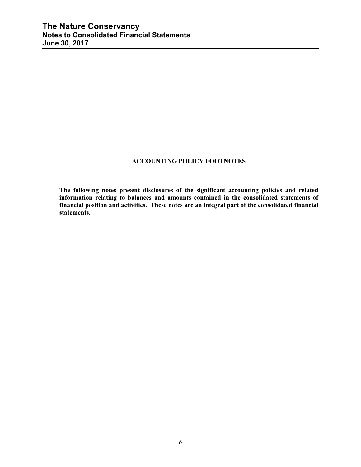## **ACCOUNTING POLICY FOOTNOTES**

**The following notes present disclosures of the significant accounting policies and related information relating to balances and amounts contained in the consolidated statements of financial position and activities. These notes are an integral part of the consolidated financial statements.**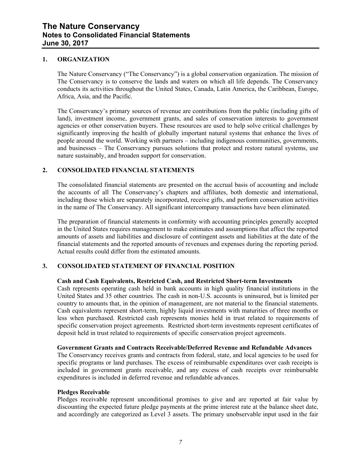#### **1. ORGANIZATION**

The Nature Conservancy ("The Conservancy") is a global conservation organization. The mission of The Conservancy is to conserve the lands and waters on which all life depends. The Conservancy conducts its activities throughout the United States, Canada, Latin America, the Caribbean, Europe, Africa, Asia, and the Pacific.

The Conservancy's primary sources of revenue are contributions from the public (including gifts of land), investment income, government grants, and sales of conservation interests to government agencies or other conservation buyers. These resources are used to help solve critical challenges by significantly improving the health of globally important natural systems that enhance the lives of people around the world. Working with partners – including indigenous communities, governments, and businesses – The Conservancy pursues solutions that protect and restore natural systems, use nature sustainably, and broaden support for conservation.

## **2. CONSOLIDATED FINANCIAL STATEMENTS**

The consolidated financial statements are presented on the accrual basis of accounting and include the accounts of all The Conservancy's chapters and affiliates, both domestic and international, including those which are separately incorporated, receive gifts, and perform conservation activities in the name of The Conservancy. All significant intercompany transactions have been eliminated.

The preparation of financial statements in conformity with accounting principles generally accepted in the United States requires management to make estimates and assumptions that affect the reported amounts of assets and liabilities and disclosure of contingent assets and liabilities at the date of the financial statements and the reported amounts of revenues and expenses during the reporting period. Actual results could differ from the estimated amounts.

## **3. CONSOLIDATED STATEMENT OF FINANCIAL POSITION**

## **Cash and Cash Equivalents, Restricted Cash, and Restricted Short-term Investments**

Cash represents operating cash held in bank accounts in high quality financial institutions in the United States and 35 other countries. The cash in non-U.S. accounts is uninsured, but is limited per country to amounts that, in the opinion of management, are not material to the financial statements. Cash equivalents represent short-term, highly liquid investments with maturities of three months or less when purchased. Restricted cash represents monies held in trust related to requirements of specific conservation project agreements. Restricted short-term investments represent certificates of deposit held in trust related to requirements of specific conservation project agreements.

#### **Government Grants and Contracts Receivable/Deferred Revenue and Refundable Advances**

The Conservancy receives grants and contracts from federal, state, and local agencies to be used for specific programs or land purchases. The excess of reimbursable expenditures over cash receipts is included in government grants receivable, and any excess of cash receipts over reimbursable expenditures is included in deferred revenue and refundable advances.

#### **Pledges Receivable**

Pledges receivable represent unconditional promises to give and are reported at fair value by discounting the expected future pledge payments at the prime interest rate at the balance sheet date, and accordingly are categorized as Level 3 assets. The primary unobservable input used in the fair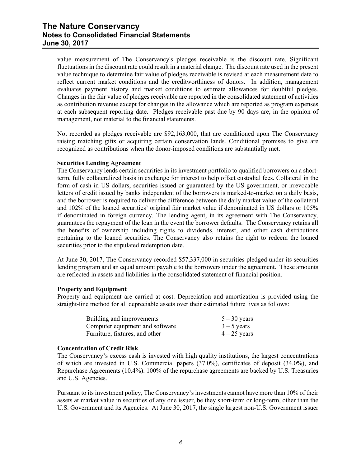# **The Nature Conservancy Notes to Consolidated Financial Statements June 30, 2017**

value measurement of The Conservancy's pledges receivable is the discount rate. Significant fluctuations in the discount rate could result in a material change. The discount rate used in the present value technique to determine fair value of pledges receivable is revised at each measurement date to reflect current market conditions and the creditworthiness of donors. In addition, management evaluates payment history and market conditions to estimate allowances for doubtful pledges. Changes in the fair value of pledges receivable are reported in the consolidated statement of activities as contribution revenue except for changes in the allowance which are reported as program expenses at each subsequent reporting date. Pledges receivable past due by 90 days are, in the opinion of management, not material to the financial statements.

Not recorded as pledges receivable are \$92,163,000, that are conditioned upon The Conservancy raising matching gifts or acquiring certain conservation lands. Conditional promises to give are recognized as contributions when the donor-imposed conditions are substantially met.

#### **Securities Lending Agreement**

The Conservancy lends certain securities in its investment portfolio to qualified borrowers on a shortterm, fully collateralized basis in exchange for interest to help offset custodial fees. Collateral in the form of cash in US dollars, securities issued or guaranteed by the US government, or irrevocable letters of credit issued by banks independent of the borrowers is marked-to-market on a daily basis, and the borrower is required to deliver the difference between the daily market value of the collateral and 102% of the loaned securities' original fair market value if denominated in US dollars or 105% if denominated in foreign currency. The lending agent, in its agreement with The Conservancy, guarantees the repayment of the loan in the event the borrower defaults. The Conservancy retains all the benefits of ownership including rights to dividends, interest, and other cash distributions pertaining to the loaned securities. The Conservancy also retains the right to redeem the loaned securities prior to the stipulated redemption date.

At June 30, 2017, The Conservancy recorded \$57,337,000 in securities pledged under its securities lending program and an equal amount payable to the borrowers under the agreement. These amounts are reflected in assets and liabilities in the consolidated statement of financial position.

#### **Property and Equipment**

Property and equipment are carried at cost. Depreciation and amortization is provided using the straight-line method for all depreciable assets over their estimated future lives as follows:

| Building and improvements       | $5 - 30$ years |
|---------------------------------|----------------|
| Computer equipment and software | $3 - 5$ years  |
| Furniture, fixtures, and other  | $4 - 25$ years |

#### **Concentration of Credit Risk**

The Conservancy's excess cash is invested with high quality institutions, the largest concentrations of which are invested in U.S. Commercial papers (37.0%), certificates of deposit (34.0%), and Repurchase Agreements (10.4%). 100% of the repurchase agreements are backed by U.S. Treasuries and U.S. Agencies.

Pursuant to its investment policy, The Conservancy's investments cannot have more than 10% of their assets at market value in securities of any one issuer, be they short-term or long-term, other than the U.S. Government and its Agencies. At June 30, 2017, the single largest non-U.S. Government issuer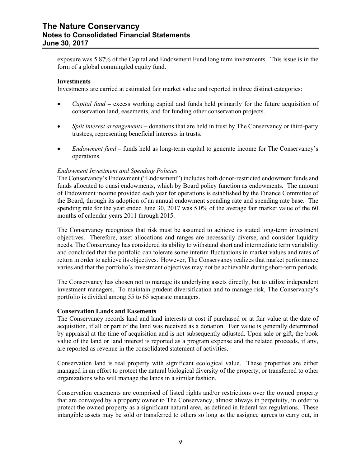exposure was 5.87% of the Capital and Endowment Fund long term investments. This issue is in the form of a global commingled equity fund.

## **Investments**

Investments are carried at estimated fair market value and reported in three distinct categories:

- *Capital fund* excess working capital and funds held primarily for the future acquisition of conservation land, easements, and for funding other conservation projects.
- *Split interest arrangements*donations that are held in trust by The Conservancy or third-party trustees, representing beneficial interests in trusts.
- *Endowment fund* funds held as long-term capital to generate income for The Conservancy's operations.

#### *Endowment Investment and Spending Policies*

The Conservancy's Endowment ("Endowment") includes both donor-restricted endowment funds and funds allocated to quasi endowments, which by Board policy function as endowments. The amount of Endowment income provided each year for operations is established by the Finance Committee of the Board, through its adoption of an annual endowment spending rate and spending rate base. The spending rate for the year ended June 30, 2017 was 5.0% of the average fair market value of the 60 months of calendar years 2011 through 2015.

The Conservancy recognizes that risk must be assumed to achieve its stated long-term investment objectives. Therefore, asset allocations and ranges are necessarily diverse, and consider liquidity needs. The Conservancy has considered its ability to withstand short and intermediate term variability and concluded that the portfolio can tolerate some interim fluctuations in market values and rates of return in order to achieve its objectives. However, The Conservancy realizes that market performance varies and that the portfolio's investment objectives may not be achievable during short-term periods.

The Conservancy has chosen not to manage its underlying assets directly, but to utilize independent investment managers. To maintain prudent diversification and to manage risk, The Conservancy's portfolio is divided among 55 to 65 separate managers.

#### **Conservation Lands and Easements**

The Conservancy records land and land interests at cost if purchased or at fair value at the date of acquisition, if all or part of the land was received as a donation. Fair value is generally determined by appraisal at the time of acquisition and is not subsequently adjusted. Upon sale or gift, the book value of the land or land interest is reported as a program expense and the related proceeds, if any, are reported as revenue in the consolidated statement of activities.

Conservation land is real property with significant ecological value. These properties are either managed in an effort to protect the natural biological diversity of the property, or transferred to other organizations who will manage the lands in a similar fashion.

Conservation easements are comprised of listed rights and/or restrictions over the owned property that are conveyed by a property owner to The Conservancy, almost always in perpetuity, in order to protect the owned property as a significant natural area, as defined in federal tax regulations. These intangible assets may be sold or transferred to others so long as the assignee agrees to carry out, in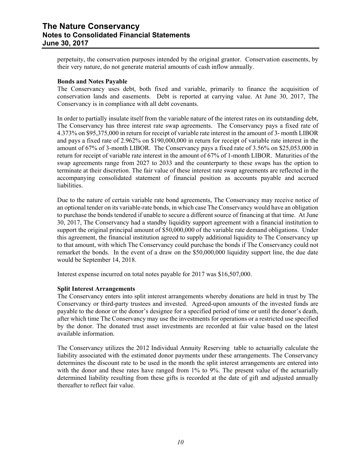perpetuity, the conservation purposes intended by the original grantor. Conservation easements, by their very nature, do not generate material amounts of cash inflow annually.

## **Bonds and Notes Payable**

The Conservancy uses debt, both fixed and variable, primarily to finance the acquisition of conservation lands and easements. Debt is reported at carrying value. At June 30, 2017, The Conservancy is in compliance with all debt covenants.

In order to partially insulate itself from the variable nature of the interest rates on its outstanding debt, The Conservancy has three interest rate swap agreements. The Conservancy pays a fixed rate of 4.373% on \$95,375,000 in return for receipt of variable rate interest in the amount of 3- month LIBOR and pays a fixed rate of 2.962% on \$190,000,000 in return for receipt of variable rate interest in the amount of 67% of 3-month LIBOR. The Conservancy pays a fixed rate of 3.56% on \$25,053,000 in return for receipt of variable rate interest in the amount of 67% of 1-month LIBOR. Maturities of the swap agreements range from 2027 to 2033 and the counterparty to these swaps has the option to terminate at their discretion. The fair value of these interest rate swap agreements are reflected in the accompanying consolidated statement of financial position as accounts payable and accrued liabilities.

Due to the nature of certain variable rate bond agreements, The Conservancy may receive notice of an optional tender on its variable-rate bonds, in which case The Conservancy would have an obligation to purchase the bonds tendered if unable to secure a different source of financing at that time. At June 30, 2017, The Conservancy had a standby liquidity support agreement with a financial institution to support the original principal amount of \$50,000,000 of the variable rate demand obligations. Under this agreement, the financial institution agreed to supply additional liquidity to The Conservancy up to that amount, with which The Conservancy could purchase the bonds if The Conservancy could not remarket the bonds. In the event of a draw on the \$50,000,000 liquidity support line, the due date would be September 14, 2018.

Interest expense incurred on total notes payable for 2017 was \$16,507,000.

## **Split Interest Arrangements**

The Conservancy enters into split interest arrangements whereby donations are held in trust by The Conservancy or third-party trustees and invested. Agreed-upon amounts of the invested funds are payable to the donor or the donor's designee for a specified period of time or until the donor's death, after which time The Conservancy may use the investments for operations or a restricted use specified by the donor. The donated trust asset investments are recorded at fair value based on the latest available information.

The Conservancy utilizes the 2012 Individual Annuity Reserving table to actuarially calculate the liability associated with the estimated donor payments under these arrangements. The Conservancy determines the discount rate to be used in the month the split interest arrangements are entered into with the donor and these rates have ranged from 1% to 9%. The present value of the actuarially determined liability resulting from these gifts is recorded at the date of gift and adjusted annually thereafter to reflect fair value.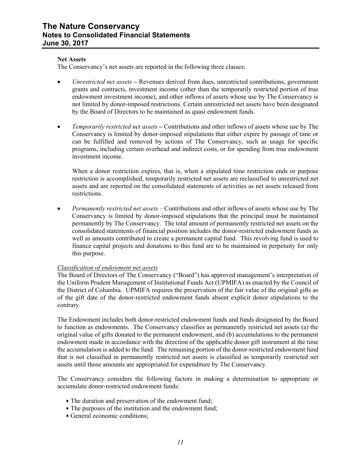## **Net Assets**

The Conservancy's net assets are reported in the following three classes:

- *Unrestricted net assets* Revenues derived from dues, unrestricted contributions, government grants and contracts, investment income (other than the temporarily restricted portion of true endowment investment income), and other inflows of assets whose use by The Conservancy is not limited by donor-imposed restrictions. Certain unrestricted net assets have been designated by the Board of Directors to be maintained as quasi endowment funds.
- *Temporarily restricted net assets*Contributions and other inflows of assets whose use by The Conservancy is limited by donor-imposed stipulations that either expire by passage of time or can be fulfilled and removed by actions of The Conservancy, such as usage for specific programs, including certain overhead and indirect costs, or for spending from true endowment investment income.

When a donor restriction expires, that is, when a stipulated time restriction ends or purpose restriction is accomplished, temporarily restricted net assets are reclassified to unrestricted net assets and are reported on the consolidated statements of activities as net assets released from restrictions.

 *Permanently restricted net assets* – Contributions and other inflows of assets whose use by The Conservancy is limited by donor-imposed stipulations that the principal must be maintained permanently by The Conservancy. The total amount of permanently restricted net assets on the consolidated statements of financial position includes the donor-restricted endowment funds as well as amounts contributed to create a permanent capital fund. This revolving fund is used to finance capital projects and donations to this fund are to be maintained in perpetuity for only this purpose.

#### *Classification of endowment net assets*

The Board of Directors of The Conservancy ("Board") has approved management's interpretation of the Uniform Prudent Management of Institutional Funds Act (UPMIFA) as enacted by the Council of the District of Columbia. UPMIFA requires the preservation of the fair value of the original gifts as of the gift date of the donor-restricted endowment funds absent explicit donor stipulations to the contrary.

The Endowment includes both donor-restricted endowment funds and funds designated by the Board to function as endowments. The Conservancy classifies as permanently restricted net assets (a) the original value of gifts donated to the permanent endowment, and (b) accumulations to the permanent endowment made in accordance with the direction of the applicable donor gift instrument at the time the accumulation is added to the fund. The remaining portion of the donor-restricted endowment fund that is not classified in permanently restricted net assets is classified as temporarily restricted net assets until those amounts are appropriated for expenditure by The Conservancy.

The Conservancy considers the following factors in making a determination to appropriate or accumulate donor-restricted endowment funds:

- The duration and preservation of the endowment fund;
- The purposes of the institution and the endowment fund;
- General economic conditions;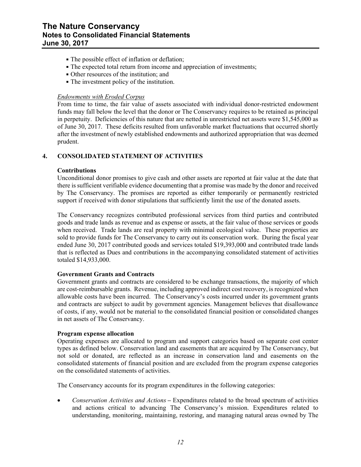- The possible effect of inflation or deflation;
- The expected total return from income and appreciation of investments;
- Other resources of the institution; and
- The investment policy of the institution.

## *Endowments with Eroded Corpus*

From time to time, the fair value of assets associated with individual donor-restricted endowment funds may fall below the level that the donor or The Conservancy requires to be retained as principal in perpetuity. Deficiencies of this nature that are netted in unrestricted net assets were \$1,545,000 as of June 30, 2017. These deficits resulted from unfavorable market fluctuations that occurred shortly after the investment of newly established endowments and authorized appropriation that was deemed prudent.

## **4. CONSOLIDATED STATEMENT OF ACTIVITIES**

#### **Contributions**

Unconditional donor promises to give cash and other assets are reported at fair value at the date that there is sufficient verifiable evidence documenting that a promise was made by the donor and received by The Conservancy. The promises are reported as either temporarily or permanently restricted support if received with donor stipulations that sufficiently limit the use of the donated assets.

The Conservancy recognizes contributed professional services from third parties and contributed goods and trade lands as revenue and as expense or assets, at the fair value of those services or goods when received. Trade lands are real property with minimal ecological value. These properties are sold to provide funds for The Conservancy to carry out its conservation work. During the fiscal year ended June 30, 2017 contributed goods and services totaled \$19,393,000 and contributed trade lands that is reflected as Dues and contributions in the accompanying consolidated statement of activities totaled \$14,933,000.

#### **Government Grants and Contracts**

Government grants and contracts are considered to be exchange transactions, the majority of which are cost-reimbursable grants. Revenue, including approved indirect cost recovery, is recognized when allowable costs have been incurred. The Conservancy's costs incurred under its government grants and contracts are subject to audit by government agencies. Management believes that disallowance of costs, if any, would not be material to the consolidated financial position or consolidated changes in net assets of The Conservancy.

#### **Program expense allocation**

Operating expenses are allocated to program and support categories based on separate cost center types as defined below. Conservation land and easements that are acquired by The Conservancy, but not sold or donated, are reflected as an increase in conservation land and easements on the consolidated statements of financial position and are excluded from the program expense categories on the consolidated statements of activities.

The Conservancy accounts for its program expenditures in the following categories:

• Conservation *Activities and Actions* – Expenditures related to the broad spectrum of activities and actions critical to advancing The Conservancy's mission. Expenditures related to understanding, monitoring, maintaining, restoring, and managing natural areas owned by The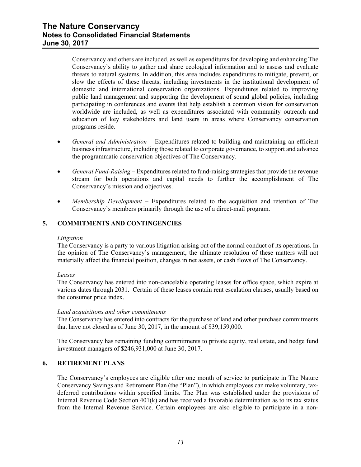Conservancy and others are included, as well as expenditures for developing and enhancing The Conservancy's ability to gather and share ecological information and to assess and evaluate threats to natural systems. In addition, this area includes expenditures to mitigate, prevent, or slow the effects of these threats, including investments in the institutional development of domestic and international conservation organizations. Expenditures related to improving public land management and supporting the development of sound global policies, including participating in conferences and events that help establish a common vision for conservation worldwide are included, as well as expenditures associated with community outreach and education of key stakeholders and land users in areas where Conservancy conservation programs reside.

- *General and Administration* Expenditures related to building and maintaining an efficient business infrastructure, including those related to corporate governance, to support and advance the programmatic conservation objectives of The Conservancy.
- General Fund-Raising Expenditures related to fund-raising strategies that provide the revenue stream for both operations and capital needs to further the accomplishment of The Conservancy's mission and objectives.
- Membership Development Expenditures related to the acquisition and retention of The Conservancy's members primarily through the use of a direct-mail program.

## **5. COMMITMENTS AND CONTINGENCIES**

#### *Litigation*

The Conservancy is a party to various litigation arising out of the normal conduct of its operations. In the opinion of The Conservancy's management, the ultimate resolution of these matters will not materially affect the financial position, changes in net assets, or cash flows of The Conservancy.

#### *Leases*

The Conservancy has entered into non-cancelable operating leases for office space, which expire at various dates through 2031. Certain of these leases contain rent escalation clauses, usually based on the consumer price index.

#### *Land acquisitions and other commitments*

The Conservancy has entered into contracts for the purchase of land and other purchase commitments that have not closed as of June 30, 2017, in the amount of \$39,159,000.

The Conservancy has remaining funding commitments to private equity, real estate, and hedge fund investment managers of \$246,931,000 at June 30, 2017.

## **6. RETIREMENT PLANS**

The Conservancy's employees are eligible after one month of service to participate in The Nature Conservancy Savings and Retirement Plan (the "Plan"), in which employees can make voluntary, taxdeferred contributions within specified limits. The Plan was established under the provisions of Internal Revenue Code Section 401(k) and has received a favorable determination as to its tax status from the Internal Revenue Service. Certain employees are also eligible to participate in a non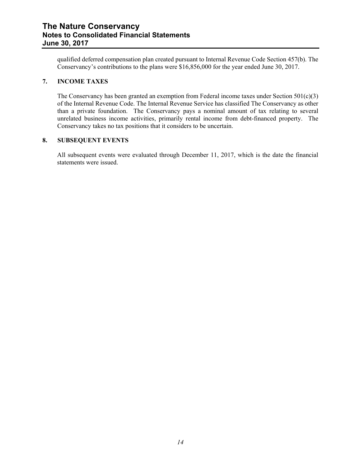qualified deferred compensation plan created pursuant to Internal Revenue Code Section 457(b). The Conservancy's contributions to the plans were \$16,856,000 for the year ended June 30, 2017.

## **7. INCOME TAXES**

The Conservancy has been granted an exemption from Federal income taxes under Section 501(c)(3) of the Internal Revenue Code. The Internal Revenue Service has classified The Conservancy as other than a private foundation. The Conservancy pays a nominal amount of tax relating to several unrelated business income activities, primarily rental income from debt-financed property. The Conservancy takes no tax positions that it considers to be uncertain.

## **8. SUBSEQUENT EVENTS**

All subsequent events were evaluated through December 11, 2017, which is the date the financial statements were issued.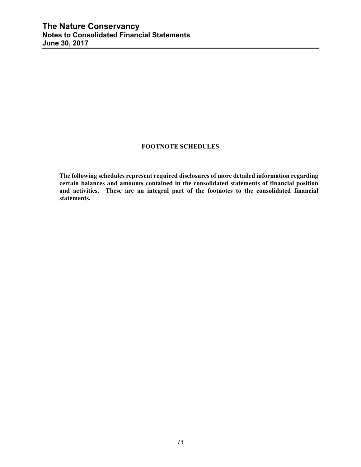## **FOOTNOTE SCHEDULES**

**The following schedules represent required disclosures of more detailed information regarding certain balances and amounts contained in the consolidated statements of financial position and activities. These are an integral part of the footnotes to the consolidated financial statements.**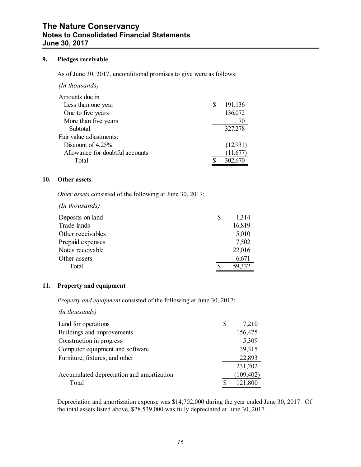## **9. Pledges receivable**

As of June 30, 2017, unconditional promises to give were as follows:

| (In thousands)                  |   |          |
|---------------------------------|---|----------|
| Amounts due in                  |   |          |
| Less than one year              | S | 191,136  |
| One to five years               |   | 136,072  |
| More than five years            |   | 70       |
| Subtotal                        |   | 327,278  |
| Fair value adjustments:         |   |          |
| Discount of $4.25\%$            |   | (12,931) |
| Allowance for doubtful accounts |   | (11,677) |
| Total                           |   | 302,670  |

## **10. Other assets**

*Other assets* consisted of the following at June 30, 2017:

| (In thousands)    |             |
|-------------------|-------------|
| Deposits on land  | \$<br>1,314 |
| Trade lands       | 16,819      |
| Other receivables | 5,010       |
| Prepaid expenses  | 7,502       |
| Notes receivable  | 22,016      |
| Other assets      | 6,671       |
| Total             | 59,332      |

# **11. Property and equipment**

*Property and equipment* consisted of the following at June 30, 2017:

*(In thousands)*

| Land for operations                       | S | 7,210      |
|-------------------------------------------|---|------------|
| Buildings and improvements                |   | 156,475    |
| Construction in progress                  |   | 5,309      |
| Computer equipment and software           |   | 39,315     |
| Furniture, fixtures, and other            |   | 22,893     |
|                                           |   | 231,202    |
| Accumulated depreciation and amortization |   | (109, 402) |
| Total                                     |   | 121,800    |

Depreciation and amortization expense was \$14,702,000 during the year ended June 30, 2017. Of the total assets listed above, \$28,539,000 was fully depreciated at June 30, 2017.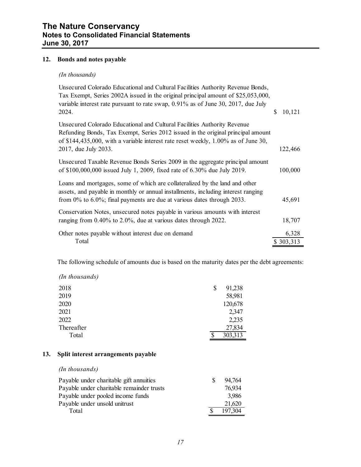# **12. Bonds and notes payable**

## *(In thousands)*

| Unsecured Colorado Educational and Cultural Facilities Authority Revenue Bonds,<br>Tax Exempt, Series 2002A issued in the original principal amount of \$25,053,000,<br>variable interest rate pursuant to rate swap, 0.91% as of June 30, 2017, due July<br>2024.            | \$<br>10,121       |
|-------------------------------------------------------------------------------------------------------------------------------------------------------------------------------------------------------------------------------------------------------------------------------|--------------------|
| Unsecured Colorado Educational and Cultural Facilities Authority Revenue<br>Refunding Bonds, Tax Exempt, Series 2012 issued in the original principal amount<br>of \$144,435,000, with a variable interest rate reset weekly, $1.00\%$ as of June 30,<br>2017, due July 2033. | 122,466            |
| Unsecured Taxable Revenue Bonds Series 2009 in the aggregate principal amount<br>of \$100,000,000 issued July 1, 2009, fixed rate of 6.30% due July 2019.                                                                                                                     | 100,000            |
| Loans and mortgages, some of which are collateralized by the land and other<br>assets, and payable in monthly or annual installments, including interest ranging<br>from $0\%$ to 6.0%; final payments are due at various dates through 2033.                                 | 45,691             |
| Conservation Notes, unsecured notes payable in various amounts with interest<br>ranging from 0.40% to 2.0%, due at various dates through 2022.                                                                                                                                | 18,707             |
| Other notes payable without interest due on demand<br>Total                                                                                                                                                                                                                   | 6,328<br>\$303,313 |

The following schedule of amounts due is based on the maturity dates per the debt agreements:

| (In thousands) |              |
|----------------|--------------|
| 2018           | 91,238<br>\$ |
| 2019           | 58,981       |
| 2020           | 120,678      |
| 2021           | 2,347        |
| 2022           | 2,235        |
| Thereafter     | 27,834       |
| Total          | 303,313<br>S |

# **13. Split interest arrangements payable**

# *(In thousands)*

| Payable under charitable gift annuities   | S. | 94.764  |
|-------------------------------------------|----|---------|
| Payable under charitable remainder trusts |    | 76,934  |
| Payable under pooled income funds         |    | 3.986   |
| Payable under unsold unitrust             |    | 21,620  |
| Total                                     |    | 197,304 |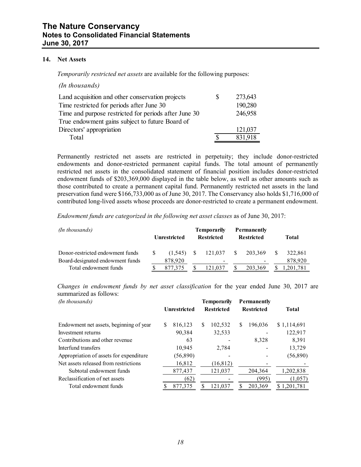## **14. Net Assets**

 *Temporarily restricted net assets* are available for the following purposes:

#### *(In thousands)*

| Land acquisition and other conservation projects      | <b>S</b> | 273,643 |
|-------------------------------------------------------|----------|---------|
| Time restricted for periods after June 30             |          | 190,280 |
| Time and purpose restricted for periods after June 30 |          | 246,958 |
| True endowment gains subject to future Board of       |          |         |
| Directors' appropriation                              |          | 121,037 |
| Total                                                 |          | 831,918 |

Permanently restricted net assets are restricted in perpetuity; they include donor-restricted endowments and donor-restricted permanent capital funds. The total amount of permanently restricted net assets in the consolidated statement of financial position includes donor-restricted endowment funds of \$203,369,000 displayed in the table below, as well as other amounts such as those contributed to create a permanent capital fund. Permanently restricted net assets in the land preservation fund were \$166,733,000 as of June 30, 2017. The Conservancy also holds \$1,716,000 of contributed long-lived assets whose proceeds are donor-restricted to create a permanent endowment.

*Endowment funds are categorized in the following net asset classes* as of June 30, 2017:

| <i>(In thousands)</i>            | Unrestricted |    | <b>Temporarily</b><br><b>Restricted</b> |    | <b>Permanently</b><br><b>Restricted</b> | Total     |
|----------------------------------|--------------|----|-----------------------------------------|----|-----------------------------------------|-----------|
| Donor-restricted endowment funds | (1.545)      | -S | 121.037                                 | S. | 203,369                                 | 322.861   |
| Board-designated endowment funds | 878,920      |    | -                                       |    |                                         | 878,920   |
| Total endowment funds            | 877.375      |    | 121.037                                 |    | 203,369                                 | 1,201,781 |

*Changes in endowment funds by net asset classification* for the year ended June 30, 2017 are summarized as follows:

| (In thousands)                          |   | <b>Unrestricted</b> |   | <b>Temporarily</b><br><b>Restricted</b> |    | <b>Permanently</b><br><b>Restricted</b> | <b>Total</b> |  |
|-----------------------------------------|---|---------------------|---|-----------------------------------------|----|-----------------------------------------|--------------|--|
| Endowment net assets, beginning of year | S | 816,123             | S | 102,532                                 | S  | 196,036                                 | \$1,114,691  |  |
| Investment returns                      |   | 90,384              |   | 32,533                                  |    |                                         | 122,917      |  |
| Contributions and other revenue         |   | 63                  |   |                                         |    | 8,328                                   | 8,391        |  |
| Interfund transfers                     |   | 10,945              |   | 2,784                                   |    |                                         | 13,729       |  |
| Appropriation of assets for expenditure |   | (56, 890)           |   |                                         |    |                                         | (56,890)     |  |
| Net assets released from restrictions   |   | 16,812              |   | (16, 812)                               |    |                                         |              |  |
| Subtotal endowment funds                |   | 877,437             |   | 121,037                                 |    | 204,364                                 | 1,202,838    |  |
| Reclassification of net assets          |   | (62)                |   |                                         |    | (995)                                   | (1,057)      |  |
| Total endowment funds                   |   | 877,375             |   | 121,037                                 | \$ | 203,369                                 | \$1,201,781  |  |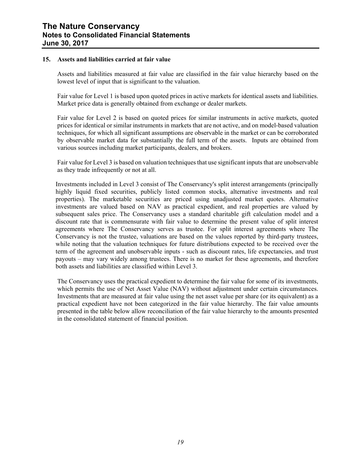#### **15. Assets and liabilities carried at fair value**

Assets and liabilities measured at fair value are classified in the fair value hierarchy based on the lowest level of input that is significant to the valuation.

Fair value for Level 1 is based upon quoted prices in active markets for identical assets and liabilities. Market price data is generally obtained from exchange or dealer markets.

Fair value for Level 2 is based on quoted prices for similar instruments in active markets, quoted prices for identical or similar instruments in markets that are not active, and on model-based valuation techniques, for which all significant assumptions are observable in the market or can be corroborated by observable market data for substantially the full term of the assets. Inputs are obtained from various sources including market participants, dealers, and brokers.

Fair value for Level 3 is based on valuation techniques that use significant inputs that are unobservable as they trade infrequently or not at all.

Investments included in Level 3 consist of The Conservancy's split interest arrangements (principally highly liquid fixed securities, publicly listed common stocks, alternative investments and real properties). The marketable securities are priced using unadjusted market quotes. Alternative investments are valued based on NAV as practical expedient, and real properties are valued by subsequent sales price. The Conservancy uses a standard charitable gift calculation model and a discount rate that is commensurate with fair value to determine the present value of split interest agreements where The Conservancy serves as trustee. For split interest agreements where The Conservancy is not the trustee, valuations are based on the values reported by third-party trustees, while noting that the valuation techniques for future distributions expected to be received over the term of the agreement and unobservable inputs - such as discount rates, life expectancies, and trust payouts – may vary widely among trustees. There is no market for these agreements, and therefore both assets and liabilities are classified within Level 3.

The Conservancy uses the practical expedient to determine the fair value for some of its investments, which permits the use of Net Asset Value (NAV) without adjustment under certain circumstances. Investments that are measured at fair value using the net asset value per share (or its equivalent) as a practical expedient have not been categorized in the fair value hierarchy. The fair value amounts presented in the table below allow reconciliation of the fair value hierarchy to the amounts presented in the consolidated statement of financial position.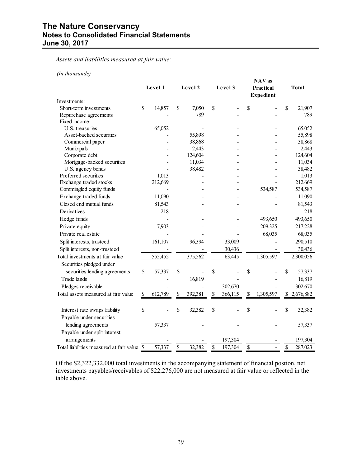# **The Nature Conservancy Notes to Consolidated Financial Statements June 30, 2017**

*Assets and liabilities measured at fair value:* 

*(In thousands)*

| Level 1<br>Level 2<br>Level 3<br><b>Total</b><br>Practical<br><b>Expedient</b><br>Investments:<br>\$<br>\$<br>Short-term investments<br>\$<br>14,857<br>\$<br>7,050<br>\$<br>21,907<br>789<br>789<br>Repurchase agreements<br>Fixed income:<br>U.S. treasuries<br>65,052<br>65,052<br>55,898<br>Asset-backed securities<br>55,898<br>38,868<br>38,868<br>Commercial paper<br><b>Municipals</b><br>2,443<br>2,443<br>Corporate debt<br>124,604<br>124,604<br>Mortgage-backed securities<br>11,034<br>11,034<br>U.S. agency bonds<br>38,482<br>38,482<br>Preferred securities<br>1,013<br>1,013<br>Exchange traded stocks<br>212,669<br>212,669<br>Commingled equity funds<br>534,587<br>534,587<br>Exchange traded funds<br>11,090<br>11,090<br>Closed end mutual funds<br>81,543<br>81,543<br>Derivatives<br>218<br>218<br>Hedge funds<br>493,650<br>493,650<br>7,903<br>Private equity<br>209,325<br>217,228<br>Private real estate<br>68,035<br>68,035 |
|----------------------------------------------------------------------------------------------------------------------------------------------------------------------------------------------------------------------------------------------------------------------------------------------------------------------------------------------------------------------------------------------------------------------------------------------------------------------------------------------------------------------------------------------------------------------------------------------------------------------------------------------------------------------------------------------------------------------------------------------------------------------------------------------------------------------------------------------------------------------------------------------------------------------------------------------------------|
|                                                                                                                                                                                                                                                                                                                                                                                                                                                                                                                                                                                                                                                                                                                                                                                                                                                                                                                                                          |
|                                                                                                                                                                                                                                                                                                                                                                                                                                                                                                                                                                                                                                                                                                                                                                                                                                                                                                                                                          |
|                                                                                                                                                                                                                                                                                                                                                                                                                                                                                                                                                                                                                                                                                                                                                                                                                                                                                                                                                          |
|                                                                                                                                                                                                                                                                                                                                                                                                                                                                                                                                                                                                                                                                                                                                                                                                                                                                                                                                                          |
|                                                                                                                                                                                                                                                                                                                                                                                                                                                                                                                                                                                                                                                                                                                                                                                                                                                                                                                                                          |
|                                                                                                                                                                                                                                                                                                                                                                                                                                                                                                                                                                                                                                                                                                                                                                                                                                                                                                                                                          |
|                                                                                                                                                                                                                                                                                                                                                                                                                                                                                                                                                                                                                                                                                                                                                                                                                                                                                                                                                          |
|                                                                                                                                                                                                                                                                                                                                                                                                                                                                                                                                                                                                                                                                                                                                                                                                                                                                                                                                                          |
|                                                                                                                                                                                                                                                                                                                                                                                                                                                                                                                                                                                                                                                                                                                                                                                                                                                                                                                                                          |
|                                                                                                                                                                                                                                                                                                                                                                                                                                                                                                                                                                                                                                                                                                                                                                                                                                                                                                                                                          |
|                                                                                                                                                                                                                                                                                                                                                                                                                                                                                                                                                                                                                                                                                                                                                                                                                                                                                                                                                          |
|                                                                                                                                                                                                                                                                                                                                                                                                                                                                                                                                                                                                                                                                                                                                                                                                                                                                                                                                                          |
|                                                                                                                                                                                                                                                                                                                                                                                                                                                                                                                                                                                                                                                                                                                                                                                                                                                                                                                                                          |
|                                                                                                                                                                                                                                                                                                                                                                                                                                                                                                                                                                                                                                                                                                                                                                                                                                                                                                                                                          |
|                                                                                                                                                                                                                                                                                                                                                                                                                                                                                                                                                                                                                                                                                                                                                                                                                                                                                                                                                          |
|                                                                                                                                                                                                                                                                                                                                                                                                                                                                                                                                                                                                                                                                                                                                                                                                                                                                                                                                                          |
|                                                                                                                                                                                                                                                                                                                                                                                                                                                                                                                                                                                                                                                                                                                                                                                                                                                                                                                                                          |
|                                                                                                                                                                                                                                                                                                                                                                                                                                                                                                                                                                                                                                                                                                                                                                                                                                                                                                                                                          |
|                                                                                                                                                                                                                                                                                                                                                                                                                                                                                                                                                                                                                                                                                                                                                                                                                                                                                                                                                          |
|                                                                                                                                                                                                                                                                                                                                                                                                                                                                                                                                                                                                                                                                                                                                                                                                                                                                                                                                                          |
|                                                                                                                                                                                                                                                                                                                                                                                                                                                                                                                                                                                                                                                                                                                                                                                                                                                                                                                                                          |
| 161,107<br>96,394<br>33,009<br>290,510<br>Split interests, trusteed                                                                                                                                                                                                                                                                                                                                                                                                                                                                                                                                                                                                                                                                                                                                                                                                                                                                                      |
| Split interests, non-trusteed<br>30,436<br>30,436                                                                                                                                                                                                                                                                                                                                                                                                                                                                                                                                                                                                                                                                                                                                                                                                                                                                                                        |
| Total investments at fair value<br>555,452<br>375,562<br>63,445<br>1,305,597<br>2,300,056                                                                                                                                                                                                                                                                                                                                                                                                                                                                                                                                                                                                                                                                                                                                                                                                                                                                |
| Securities pledged under                                                                                                                                                                                                                                                                                                                                                                                                                                                                                                                                                                                                                                                                                                                                                                                                                                                                                                                                 |
| \$<br>\$<br>57,337<br>\$<br>\$<br>securities lending agreements<br>\$<br>57,337                                                                                                                                                                                                                                                                                                                                                                                                                                                                                                                                                                                                                                                                                                                                                                                                                                                                          |
| 16,819<br>Trade lands<br>16,819                                                                                                                                                                                                                                                                                                                                                                                                                                                                                                                                                                                                                                                                                                                                                                                                                                                                                                                          |
| Pledges receivable<br>302,670<br>302,670                                                                                                                                                                                                                                                                                                                                                                                                                                                                                                                                                                                                                                                                                                                                                                                                                                                                                                                 |
| $\mathbb S$<br>$\mathbb S$<br>$\boldsymbol{\mathsf{S}}$<br>$\mathbb S$<br>\$2,676,882<br>Total assets measured at fair value<br>612,789<br>392,381<br>366,115<br>1,305,597                                                                                                                                                                                                                                                                                                                                                                                                                                                                                                                                                                                                                                                                                                                                                                               |
| \$<br>\$<br>32,382<br>\$<br>\$<br>\$<br>Interest rate swaps liability<br>32,382                                                                                                                                                                                                                                                                                                                                                                                                                                                                                                                                                                                                                                                                                                                                                                                                                                                                          |
| Payable under securities                                                                                                                                                                                                                                                                                                                                                                                                                                                                                                                                                                                                                                                                                                                                                                                                                                                                                                                                 |
| lending agreements<br>57,337<br>57,337                                                                                                                                                                                                                                                                                                                                                                                                                                                                                                                                                                                                                                                                                                                                                                                                                                                                                                                   |
|                                                                                                                                                                                                                                                                                                                                                                                                                                                                                                                                                                                                                                                                                                                                                                                                                                                                                                                                                          |
| Payable under split interest<br>197,304<br>197,304<br>arrangements                                                                                                                                                                                                                                                                                                                                                                                                                                                                                                                                                                                                                                                                                                                                                                                                                                                                                       |
| $\mathsf{\$}$<br>32,382<br>\$<br>\$<br>\$<br>Total liabilities measured at fair value \$<br>57,337<br>197,304<br>287,023                                                                                                                                                                                                                                                                                                                                                                                                                                                                                                                                                                                                                                                                                                                                                                                                                                 |

Of the \$2,322,332,000 total investments in the accompanying statement of financial postion, net investments payables/receivables of \$22,276,000 are not measured at fair value or reflected in the table above.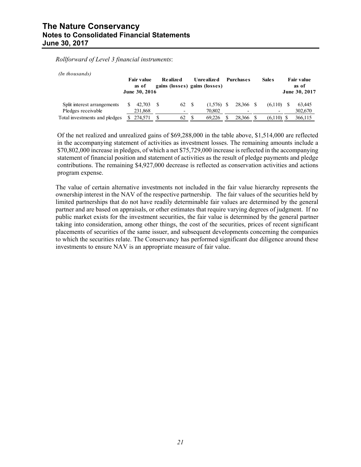*Rollforward of Level 3 financial instruments*:

*(In thousands)*

|                               | <b>Fair value</b><br>as of<br>June 30, 2016 | <b>Realized</b>          |     | <b>Unrealized</b><br>gains (losses) gains (losses) |   | <b>Purchases</b> | <b>Sales</b> | <b>Fair value</b><br>as of<br>June 30, 2017 |
|-------------------------------|---------------------------------------------|--------------------------|-----|----------------------------------------------------|---|------------------|--------------|---------------------------------------------|
| Split interest arrangements   | 42.703                                      | 62                       | - S | $(1,576)$ \$                                       |   | 28,366           | (6,110)      | 63,445                                      |
| Pledges receivable            | 231,868                                     | $\overline{\phantom{a}}$ |     | 70.802                                             |   |                  |              | 302,670                                     |
| Total investments and pledges | 274,571                                     | 62                       |     | 69.226                                             | ъ | 28.366           | $(6,110)$ \$ | 366,115                                     |

Of the net realized and unrealized gains of \$69,288,000 in the table above, \$1,514,000 are reflected in the accompanying statement of activities as investment losses. The remaining amounts include a \$70,802,000 increase in pledges, of which a net \$75,729,000 increase is reflected in the accompanying statement of financial position and statement of activities as the result of pledge payments and pledge contributions. The remaining \$4,927,000 decrease is reflected as conservation activities and actions program expense.

The value of certain alternative investments not included in the fair value hierarchy represents the ownership interest in the NAV of the respective partnership. The fair values of the securities held by limited partnerships that do not have readily determinable fair values are determined by the general partner and are based on appraisals, or other estimates that require varying degrees of judgment. If no public market exists for the investment securities, the fair value is determined by the general partner taking into consideration, among other things, the cost of the securities, prices of recent significant placements of securities of the same issuer, and subsequent developments concerning the companies to which the securities relate. The Conservancy has performed significant due diligence around these investments to ensure NAV is an appropriate measure of fair value.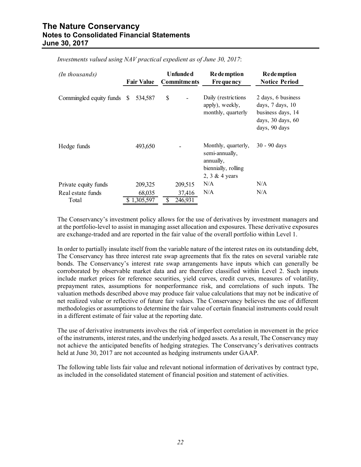# **The Nature Conservancy Notes to Consolidated Financial Statements June 30, 2017**

| (In thousands)             |              | <b>Fair Value</b>   | Unfunded<br><b>Commitments</b> | <b>Redemption</b><br>Frequency                                                                 | <b>Redemption</b><br><b>Notice Period</b>                                                                 |  |  |  |
|----------------------------|--------------|---------------------|--------------------------------|------------------------------------------------------------------------------------------------|-----------------------------------------------------------------------------------------------------------|--|--|--|
| Commingled equity funds    | <sup>S</sup> | 534,587             | \$                             | Daily (restrictions)<br>apply), weekly,<br>monthly, quarterly                                  | 2 days, 6 business<br>days, $7$ days, $10$<br>business days, 14<br>days, $30$ days, $60$<br>days, 90 days |  |  |  |
| Hedge funds                |              | 493,650             |                                | Monthly, quarterly,<br>semi-annually,<br>annually,<br>biennially, rolling<br>2, $3 \& 4$ years | $30 - 90$ days                                                                                            |  |  |  |
| Private equity funds       |              | 209,325             | 209,515                        | N/A                                                                                            | N/A                                                                                                       |  |  |  |
| Real estate funds<br>Total |              | 68,035<br>1,305,597 | 37,416<br>246,931              | N/A                                                                                            | N/A                                                                                                       |  |  |  |

*Investments valued using NAV practical expedient as of June 30, 2017*:

The Conservancy's investment policy allows for the use of derivatives by investment managers and at the portfolio-level to assist in managing asset allocation and exposures. These derivative exposures are exchange-traded and are reported in the fair value of the overall portfolio within Level 1.

In order to partially insulate itself from the variable nature of the interest rates on its outstanding debt, The Conservancy has three interest rate swap agreements that fix the rates on several variable rate bonds. The Conservancy's interest rate swap arrangements have inputs which can generally be corroborated by observable market data and are therefore classified within Level 2. Such inputs include market prices for reference securities, yield curves, credit curves, measures of volatility, prepayment rates, assumptions for nonperformance risk, and correlations of such inputs. The valuation methods described above may produce fair value calculations that may not be indicative of net realized value or reflective of future fair values. The Conservancy believes the use of different methodologies or assumptions to determine the fair value of certain financial instruments could result in a different estimate of fair value at the reporting date.

The use of derivative instruments involves the risk of imperfect correlation in movement in the price of the instruments, interest rates, and the underlying hedged assets. As a result, The Conservancy may not achieve the anticipated benefits of hedging strategies. The Conservancy's derivatives contracts held at June 30, 2017 are not accounted as hedging instruments under GAAP.

The following table lists fair value and relevant notional information of derivatives by contract type, as included in the consolidated statement of financial position and statement of activities.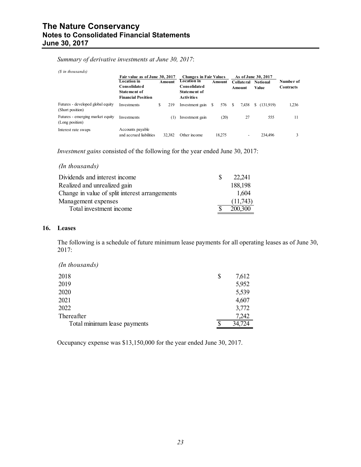#### *Summary of derivative investments at June 30, 2017*:

#### *(\$ in thousands)*

|                                                       | <b>Location</b> in<br><b>Consolidated</b><br>Statement of<br><b>Financial Position</b> | Fair value as of June 30, 2017<br>Amount |        | <b>Changes in Fair Values</b><br><b>Location</b> in<br>Consolidated<br>Statement of<br><b>Activities</b> | <b>Amount</b> |   | As of June 30, 2017<br><b>Collateral</b><br>Amount |    | <b>Notional</b><br>Value | Number of<br>Contracts |  |
|-------------------------------------------------------|----------------------------------------------------------------------------------------|------------------------------------------|--------|----------------------------------------------------------------------------------------------------------|---------------|---|----------------------------------------------------|----|--------------------------|------------------------|--|
| Futures - developed global equity<br>(Short position) | Investments                                                                            | S                                        | 219    | Investment gain                                                                                          | 576           | S | 7.438                                              | S. | (131.919)                | 1,236                  |  |
| Futures - emerging market equity<br>(Long position)   | Investments                                                                            |                                          | (1)    | Investment gain                                                                                          | (20)          |   | 27                                                 |    | 555                      | 11                     |  |
| Interest rate swaps                                   | Accounts payable<br>and accrued liabilities                                            |                                          | 32.382 | Other income                                                                                             | 18.275        |   |                                                    |    | 234.496                  |                        |  |

*Investment gains* consisted of the following for the year ended June 30, 2017:

#### *(In thousands)*

| Dividends and interest income                  | 22,241   |
|------------------------------------------------|----------|
| Realized and unrealized gain                   | 188,198  |
| Change in value of split interest arrangements | 1,604    |
| Management expenses                            | (11,743) |
| Total investment income                        | 200,300  |

## **16. Leases**

The following is a schedule of future minimum lease payments for all operating leases as of June 30, 2017:

| (In thousands)               |    |        |
|------------------------------|----|--------|
| 2018                         | \$ | 7,612  |
| 2019                         |    | 5,952  |
| 2020                         |    | 5,539  |
| 2021                         |    | 4,607  |
| 2022                         |    | 3,772  |
| Thereafter                   |    | 7,242  |
| Total minimum lease payments | S  | 34,724 |

Occupancy expense was \$13,150,000 for the year ended June 30, 2017.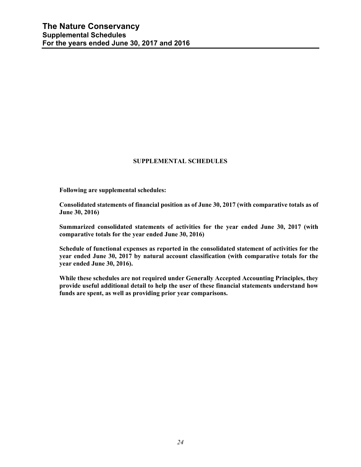## **SUPPLEMENTAL SCHEDULES**

**Following are supplemental schedules:** 

**Consolidated statements of financial position as of June 30, 2017 (with comparative totals as of June 30, 2016)** 

**Summarized consolidated statements of activities for the year ended June 30, 2017 (with comparative totals for the year ended June 30, 2016)** 

**Schedule of functional expenses as reported in the consolidated statement of activities for the year ended June 30, 2017 by natural account classification (with comparative totals for the year ended June 30, 2016).** 

**While these schedules are not required under Generally Accepted Accounting Principles, they provide useful additional detail to help the user of these financial statements understand how funds are spent, as well as providing prior year comparisons.**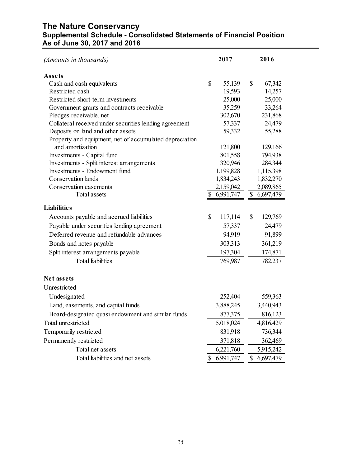# **The Nature Conservancy Supplemental Schedule - Consolidated Statements of Financial Position As of June 30, 2017 and 2016**

| (Amounts in thousands)                                                    | 2017                 | 2016                   |
|---------------------------------------------------------------------------|----------------------|------------------------|
| Assets                                                                    |                      |                        |
| Cash and cash equivalents                                                 | \$<br>55,139         | \$<br>67,342           |
| Restricted cash                                                           | 19,593               | 14,257                 |
| Restricted short-term investments                                         | 25,000               | 25,000                 |
| Government grants and contracts receivable                                | 35,259               | 33,264                 |
| Pledges receivable, net                                                   | 302,670              | 231,868                |
| Collateral received under securities lending agreement                    | 57,337               | 24,479                 |
| Deposits on land and other assets                                         | 59,332               | 55,288                 |
| Property and equipment, net of accumulated depreciation                   |                      |                        |
| and amortization                                                          | 121,800              | 129,166                |
| Investments - Capital fund                                                | 801,558              | 794,938                |
| Investments - Split interest arrangements<br>Investments - Endowment fund | 320,946<br>1,199,828 | 284,344<br>1,115,398   |
| Conservation lands                                                        | 1,834,243            | 1,832,270              |
| Conservation easements                                                    | 2,159,042            | 2,089,865              |
| Total assets                                                              | \$6,991,747          | $\overline{6,697,479}$ |
|                                                                           |                      |                        |
| <b>Liabilities</b>                                                        |                      |                        |
| Accounts payable and accrued liabilities                                  | \$<br>117,114        | \$<br>129,769          |
| Payable under securities lending agreement                                | 57,337               | 24,479                 |
| Deferred revenue and refundable advances                                  | 94,919               | 91,899                 |
| Bonds and notes payable                                                   | 303,313              | 361,219                |
| Split interest arrangements payable                                       | 197,304              | 174,871                |
| <b>Total</b> liabilities                                                  | 769,987              | 782,237                |
|                                                                           |                      |                        |
| Net assets                                                                |                      |                        |
| Unrestricted                                                              |                      |                        |
| Undesignated                                                              | 252,404              | 559,363                |
| Land, easements, and capital funds                                        | 3,888,245            | 3,440,943              |
| Board-designated quasi endowment and similar funds                        | 877,375              | 816,123                |
| Total unrestricted                                                        | 5,018,024            | 4,816,429              |
| Temporarily restricted                                                    | 831,918              | 736,344                |
| Permanently restricted                                                    | 371,818              | 362,469                |
| Total net assets                                                          | 6,221,760            | 5,915,242              |
| Total liabilities and net assets                                          | \$6,991,747          | \$6,697,479            |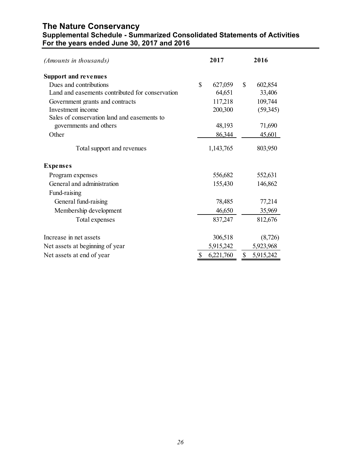# **The Nature Conservancy Supplemental Schedule - Summarized Consolidated Statements of Activities For the years ended June 30, 2017 and 2016**

| (Amounts in thousands)                          | 2017            | 2016 |           |  |
|-------------------------------------------------|-----------------|------|-----------|--|
| <b>Support and revenues</b>                     |                 |      |           |  |
| Dues and contributions                          | \$<br>627,059   | \$   | 602,854   |  |
| Land and easements contributed for conservation | 64,651          |      | 33,406    |  |
| Government grants and contracts                 | 117,218         |      | 109,744   |  |
| Investment income                               | 200,300         |      | (59,345)  |  |
| Sales of conservation land and easements to     |                 |      |           |  |
| governments and others                          | 48,193          |      | 71,690    |  |
| Other                                           | 86,344          |      | 45,601    |  |
| Total support and revenues                      | 1,143,765       |      | 803,950   |  |
| <b>Expenses</b>                                 |                 |      |           |  |
| Program expenses                                | 556,682         |      | 552,631   |  |
| General and administration                      | 155,430         |      | 146,862   |  |
| Fund-raising                                    |                 |      |           |  |
| General fund-raising                            | 78,485          |      | 77,214    |  |
| Membership development                          | 46,650          |      | 35,969    |  |
| Total expenses                                  | 837,247         |      | 812,676   |  |
| Increase in net assets                          | 306,518         |      | (8,726)   |  |
| Net assets at beginning of year                 | 5,915,242       |      | 5,923,968 |  |
| Net assets at end of year                       | \$<br>6,221,760 | \$   | 5,915,242 |  |